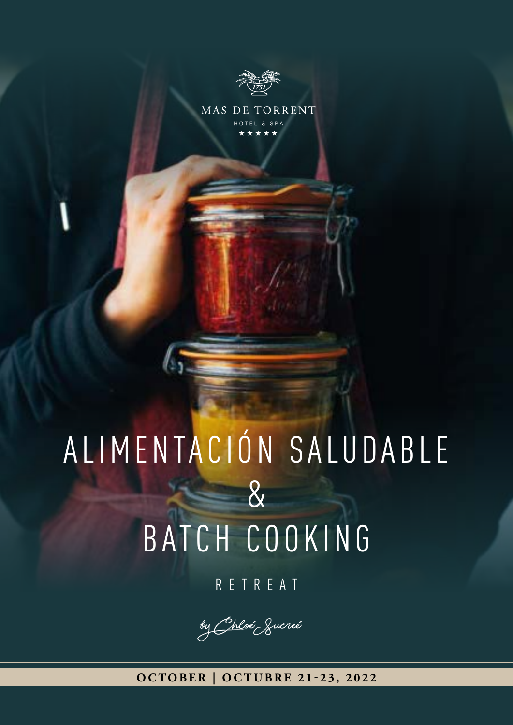

## MAS DE TORRENT

# ALIMENTACIÓN SALUDABLE & BATCH COOKING

RETREAT

by Chloe Sucreeé

**OCTOBER | OCTUBRE 21-23, 2022**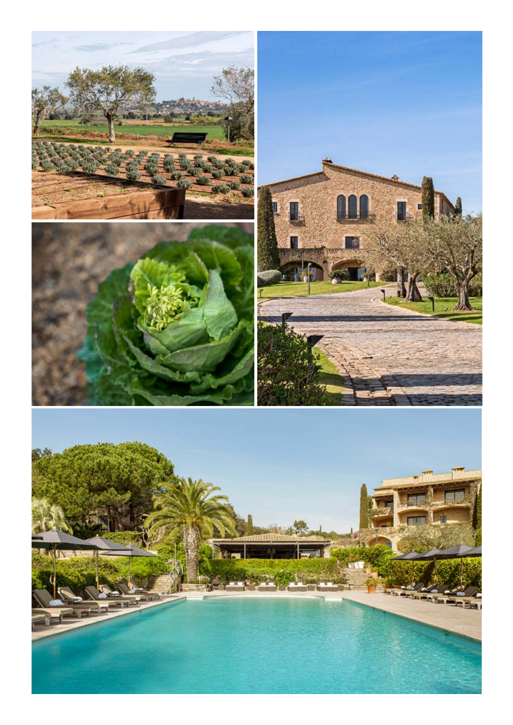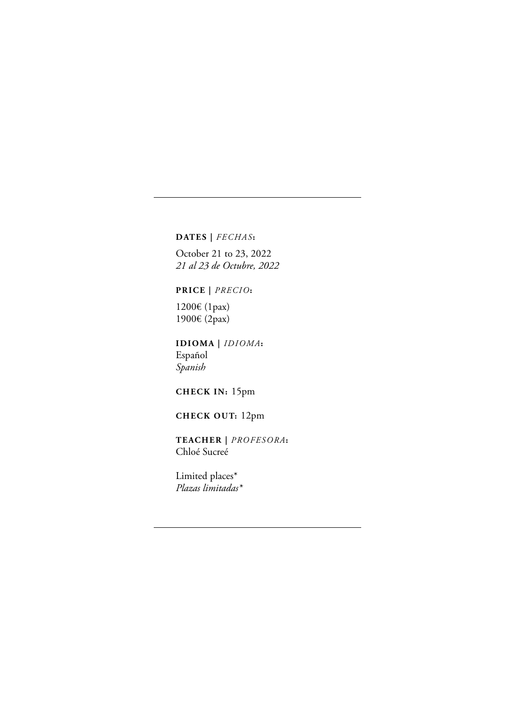**DATES |** *FECHAS***:**

October 21 to 23, 2022 *21 al 23 de Octubre, 2022*

**PRICE |** *PRECIO***:** 

1200€ (1pax) 1900€ (2pax)

**IDIOMA |** *IDIOMA***:**  Español *Spanish*

**CHECK IN:** 15pm

**CHECK OUT:** 12pm

**TEACHER |** *PROFESORA***:**  Chloé Sucreé

Limited places\* *Plazas limitadas\**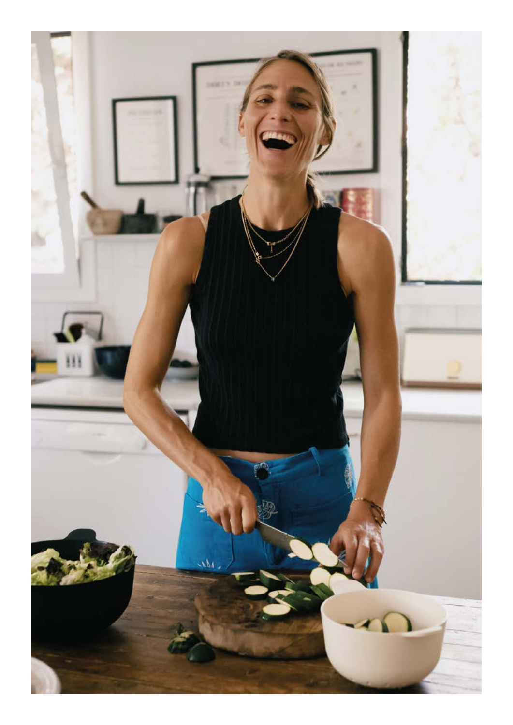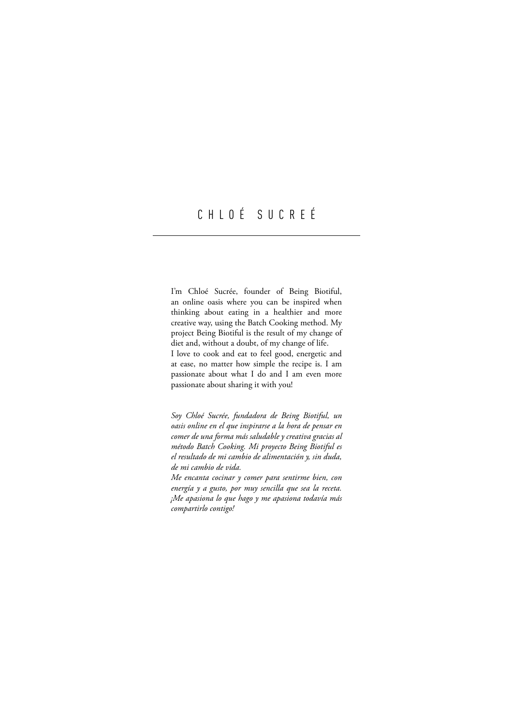### C H L O É S U C R E É

I'm Chloé Sucrée, founder of Being Biotiful, an online oasis where you can be inspired when thinking about eating in a healthier and more creative way, using the Batch Cooking method. My project Being Biotiful is the result of my change of diet and, without a doubt, of my change of life. I love to cook and eat to feel good, energetic and at ease, no matter how simple the recipe is. I am passionate about what I do and I am even more passionate about sharing it with you!

*Soy Chloé Sucrée, fundadora de Being Biotiful, un oasis online en el que inspirarse a la hora de pensar en comer de una forma más saludable y creativa gracias al método Batch Cooking. Mi proyecto Being Biotiful es el resultado de mi cambio de alimentación y, sin duda, de mi cambio de vida.*

*Me encanta cocinar y comer para sentirme bien, con energía y a gusto, por muy sencilla que sea la receta. ¡Me apasiona lo que hago y me apasiona todavía más compartirlo contigo!*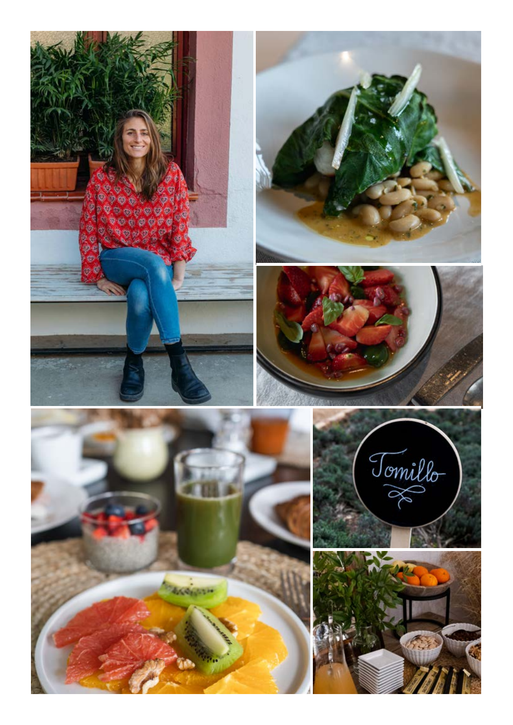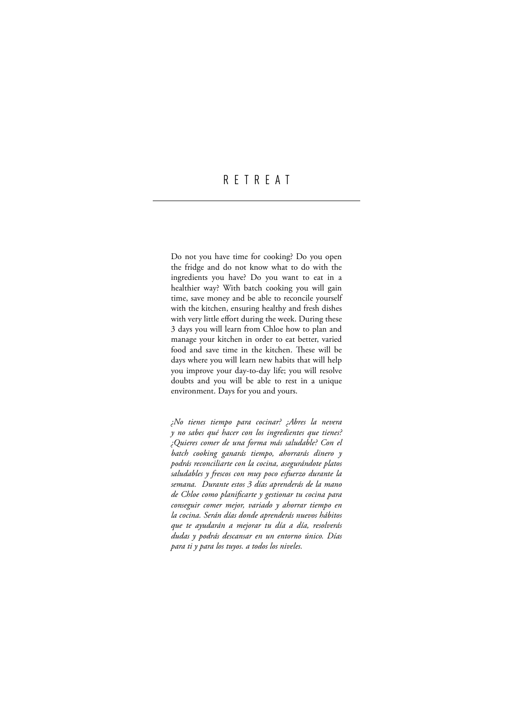#### RETREAT

Do not you have time for cooking? Do you open the fridge and do not know what to do with the ingredients you have? Do you want to eat in a healthier way? With batch cooking you will gain time, save money and be able to reconcile yourself with the kitchen, ensuring healthy and fresh dishes with very little effort during the week. During these 3 days you will learn from Chloe how to plan and manage your kitchen in order to eat better, varied food and save time in the kitchen. These will be days where you will learn new habits that will help you improve your day-to-day life; you will resolve doubts and you will be able to rest in a unique environment. Days for you and yours.

*¿No tienes tiempo para cocinar? ¿Abres la nevera y no sabes qué hacer con los ingredientes que tienes? ¿Quieres comer de una forma más saludable? Con el batch cooking ganarás tiempo, ahorrarás dinero y podrás reconciliarte con la cocina, asegurándote platos saludables y frescos con muy poco esfuerzo durante la semana. Durante estos 3 días aprenderás de la mano de Chloe como planificarte y gestionar tu cocina para conseguir comer mejor, variado y ahorrar tiempo en la cocina. Serán días donde aprenderás nuevos hábitos que te ayudarán a mejorar tu día a día, resolverás dudas y podrás descansar en un entorno único. Días para ti y para los tuyos. a todos los niveles.*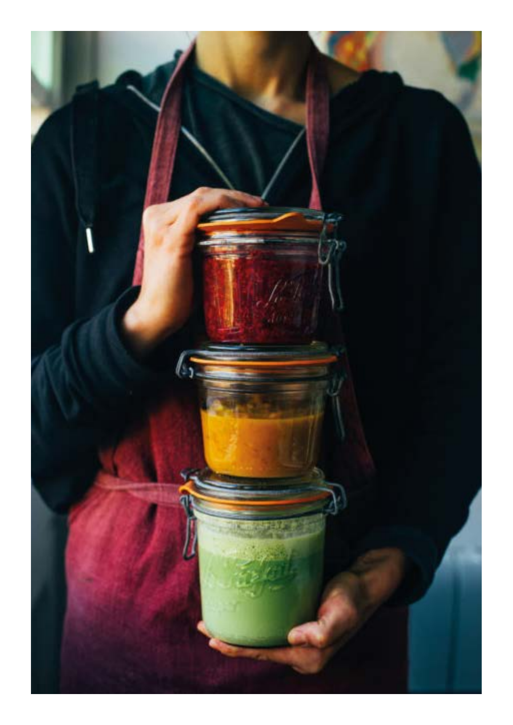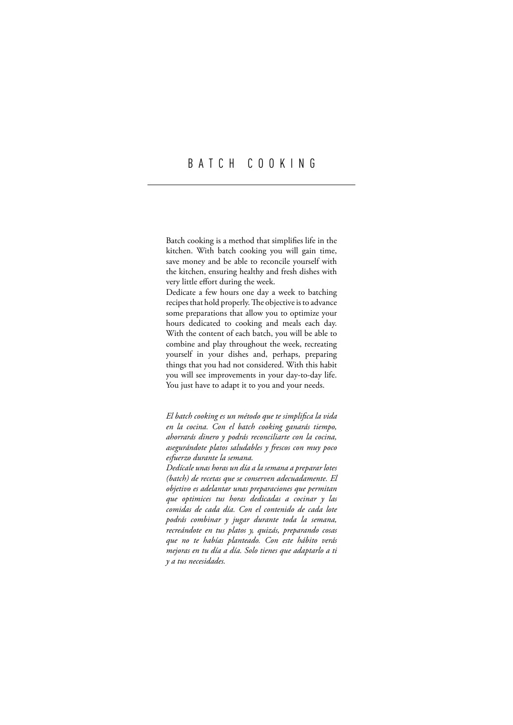#### BATCH COOKING

Batch cooking is a method that simplifies life in the kitchen. With batch cooking you will gain time, save money and be able to reconcile yourself with the kitchen, ensuring healthy and fresh dishes with very little effort during the week.

Dedicate a few hours one day a week to batching recipes that hold properly. The objective is to advance some preparations that allow you to optimize your hours dedicated to cooking and meals each day. With the content of each batch, you will be able to combine and play throughout the week, recreating yourself in your dishes and, perhaps, preparing things that you had not considered. With this habit you will see improvements in your day-to-day life. You just have to adapt it to you and your needs.

*El batch cooking es un método que te simplifica la vida en la cocina. Con el batch cooking ganarás tiempo, ahorrarás dinero y podrás reconciliarte con la cocina, asegurándote platos saludables y frescos con muy poco esfuerzo durante la semana.* 

*Dedícale unas horas un día a la semana a preparar lotes (batch) de recetas que se conserven adecuadamente. El objetivo es adelantar unas preparaciones que permitan que optimices tus horas dedicadas a cocinar y las comidas de cada día. Con el contenido de cada lote podrás combinar y jugar durante toda la semana, recreándote en tus platos y, quizás, preparando cosas que no te habías planteado. Con este hábito verás mejoras en tu día a día. Solo tienes que adaptarlo a ti y a tus necesidades.*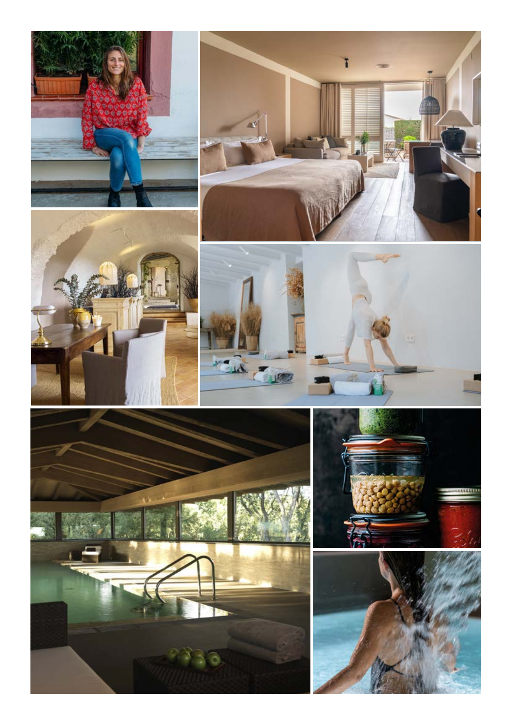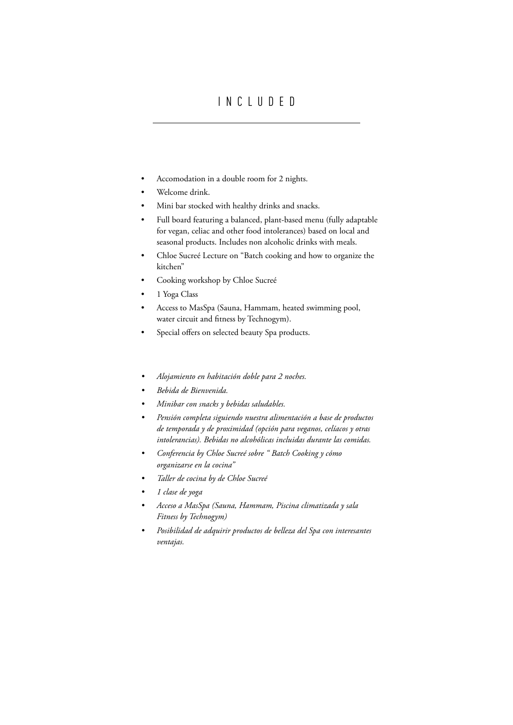#### INCLUDED

- Accomodation in a double room for 2 nights.
- Welcome drink.
- Mini bar stocked with healthy drinks and snacks.
- Full board featuring a balanced, plant-based menu (fully adaptable for vegan, celiac and other food intolerances) based on local and seasonal products. Includes non alcoholic drinks with meals.
- Chloe Sucreé Lecture on "Batch cooking and how to organize the kitchen"
- Cooking workshop by Chloe Sucreé
- 1 Yoga Class
- Access to MasSpa (Sauna, Hammam, heated swimming pool, water circuit and fitness by Technogym).
- Special offers on selected beauty Spa products.
- *• Alojamiento en habitación doble para 2 noches.*
- *• Bebida de Bienvenida.*
- *• Minibar con snacks y bebidas saludables.*
- *• Pensión completa siguiendo nuestra alimentación a base de productos de temporada y de proximidad (opción para veganos, celíacos y otras intolerancias). Bebidas no alcohólicas incluidas durante las comidas.*
- *• Conferencia by Chloe Sucreé sobre " Batch Cooking y cómo organizarse en la cocina"*
- *• Taller de cocina by de Chloe Sucreé*
- *• 1 clase de yoga*
- *• Acceso a MasSpa (Sauna, Hammam, Piscina climatizada y sala Fitness by Technogym)*
- *• Posibilidad de adquirir productos de belleza del Spa con interesantes ventajas.*